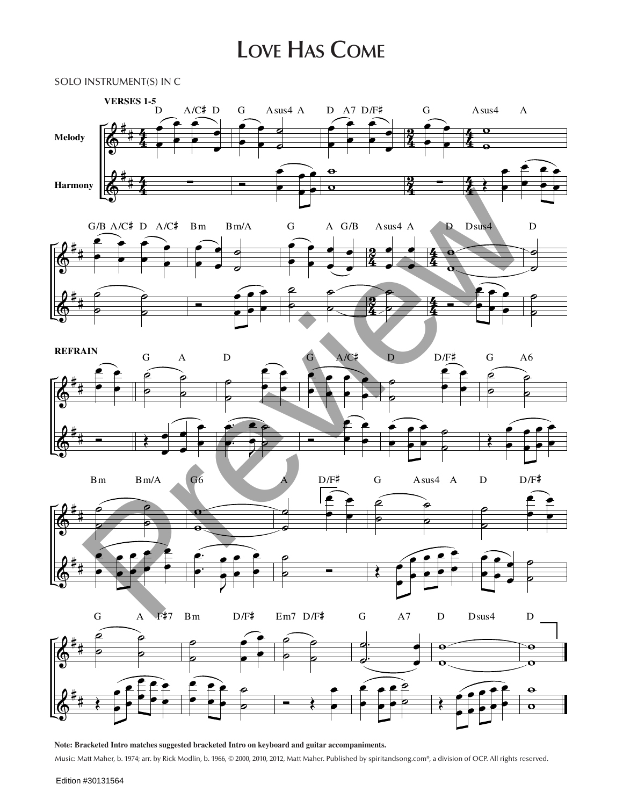## **Love Has Come**



**Note: Bracketed Intro matches suggested bracketed Intro on keyboard and guitar accompaniments.** Music: Matt Maher, b. 1974; arr. by Rick Modlin, b. 1966, © 2000, 2010, 2012, Matt Maher. Published by spiritandsong.com®, a division of OCP. All rights reserved.